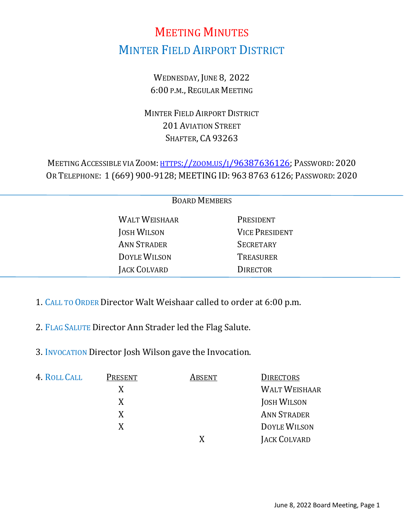# MEETING MINUTES MINTER FIELD AIRPORT DISTRICT

WEDNESDAY, JUNE 8, 2022 6:00 P.M., REGULAR MEETING

MINTER FIELD AIRPORT DISTRICT 201 AVIATION STREET SHAFTER, CA 93263

MEETING ACCESSIBLE VIA ZOOM: [HTTPS://ZOOM.US/J/96387636126;](https://zoom.us/j/96387636126?pwd=M0E1YkoyOGxxWXI5VzNUR2g3bmxRZz09) PASSWORD: 2020 OR TELEPHONE: 1 (669) 900-9128; MEETING ID: 963 8763 6126; PASSWORD: 2020

| <b>BOARD MEMBERS</b> |                       |  |
|----------------------|-----------------------|--|
| <b>WALT WEISHAAR</b> | PRESIDENT             |  |
| <b>JOSH WILSON</b>   | <b>VICE PRESIDENT</b> |  |
| <b>ANN STRADER</b>   | <b>SECRETARY</b>      |  |
| <b>DOYLE WILSON</b>  | <b>TREASURER</b>      |  |
| JACK COLVARD         | <b>DIRECTOR</b>       |  |
|                      |                       |  |

- 1. CALL TO ORDER Director Walt Weishaar called to order at 6:00 p.m.
- 2. FLAG SALUTE Director Ann Strader led the Flag Salute.
- 3. INVOCATION Director Josh Wilson gave the Invocation.

| 4. ROLL CALL | PRESENT | ABSENT | <b>DIRECTORS</b>     |
|--------------|---------|--------|----------------------|
|              | X       |        | <b>WALT WEISHAAR</b> |
|              | X       |        | <b>JOSH WILSON</b>   |
|              | X       |        | <b>ANN STRADER</b>   |
|              | X       |        | DOYLE WILSON         |
|              |         |        | JACK COLVARD         |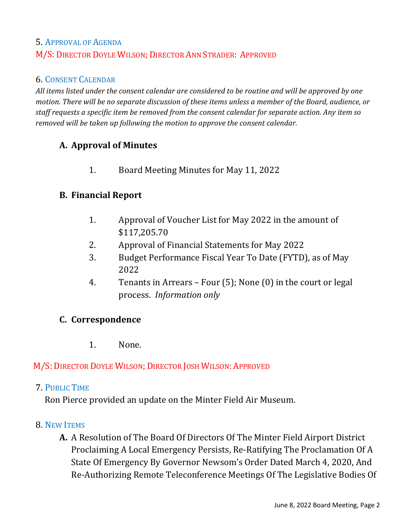# 5. APPROVAL OF AGENDA M/S: DIRECTOR DOYLE WILSON; DIRECTOR ANN STRADER: APPROVED

#### 6. CONSENT CALENDAR

*All items listed under the consent calendar are considered to be routine and will be approved by one motion. There will be no separate discussion of these items unless a member of the Board, audience, or staff requests a specific item be removed from the consent calendar for separate action. Any item so removed will be taken up following the motion to approve the consent calendar.*

## **A. Approval of Minutes**

1. Board Meeting Minutes for May 11, 2022

#### **B. Financial Report**

- 1. Approval of Voucher List for May 2022 in the amount of \$117,205.70
- 2. Approval of Financial Statements for May 2022
- 3. Budget Performance Fiscal Year To Date (FYTD), as of May 2022
- 4. Tenants in Arrears Four (5); None (0) in the court or legal process. *Information only*

#### **C. Correspondence**

1. None.

## M/S: DIRECTOR DOYLE WILSON; DIRECTOR JOSH WILSON: APPROVED

#### 7. PUBLIC TIME

Ron Pierce provided an update on the Minter Field Air Museum.

#### 8. NEW ITEMS

**A.** A Resolution of The Board Of Directors Of The Minter Field Airport District Proclaiming A Local Emergency Persists, Re-Ratifying The Proclamation Of A State Of Emergency By Governor Newsom's Order Dated March 4, 2020, And Re-Authorizing Remote Teleconference Meetings Of The Legislative Bodies Of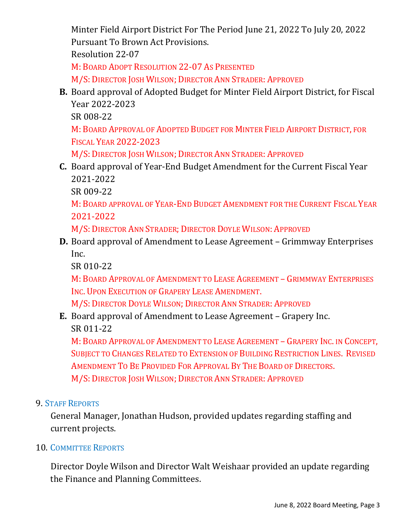Minter Field Airport District For The Period June 21, 2022 To July 20, 2022 Pursuant To Brown Act Provisions. Resolution 22-07 M: BOARD ADOPT RESOLUTION 22-07 AS PRESENTED M/S: DIRECTOR JOSH WILSON; DIRECTOR ANN STRADER: APPROVED

**B.** Board approval of Adopted Budget for Minter Field Airport District, for Fiscal Year 2022-2023

SR 008-22

M: BOARD APPROVAL OF ADOPTED BUDGET FOR MINTER FIELD AIRPORT DISTRICT, FOR FISCAL YEAR 2022-2023

M/S: DIRECTOR JOSH WILSON; DIRECTOR ANN STRADER: APPROVED

**C.** Board approval of Year-End Budget Amendment for the Current Fiscal Year 2021-2022

SR 009-22

M: BOARD APPROVAL OF YEAR-END BUDGET AMENDMENT FOR THE CURRENT FISCAL YEAR 2021-2022

M/S: DIRECTOR ANN STRADER; DIRECTOR DOYLE WILSON: APPROVED

**D.** Board approval of Amendment to Lease Agreement – Grimmway Enterprises Inc.

SR 010-22

M: BOARD APPROVAL OF AMENDMENT TO LEASE AGREEMENT – GRIMMWAY ENTERPRISES INC. UPON EXECUTION OF GRAPERY LEASE AMENDMENT.

M/S: DIRECTOR DOYLE WILSON; DIRECTOR ANN STRADER: APPROVED

**E.** Board approval of Amendment to Lease Agreement – Grapery Inc. SR 011-22

M: BOARD APPROVAL OF AMENDMENT TO LEASE AGREEMENT – GRAPERY INC. IN CONCEPT, SUBJECT TO CHANGES RELATED TO EXTENSION OF BUILDING RESTRICTION LINES. REVISED AMENDMENT TO BE PROVIDED FOR APPROVAL BY THE BOARD OF DIRECTORS. M/S: DIRECTOR JOSH WILSON; DIRECTOR ANN STRADER: APPROVED

# 9. STAFF REPORTS

General Manager, Jonathan Hudson, provided updates regarding staffing and current projects.

# 10. COMMITTEE REPORTS

 Director Doyle Wilson and Director Walt Weishaar provided an update regarding the Finance and Planning Committees.